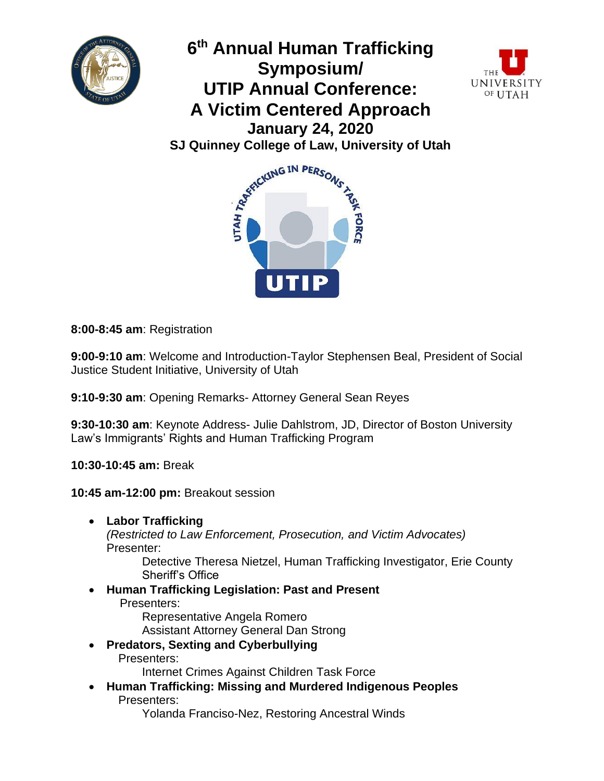



UNIVERSITY OF UTAH



**8:00-8:45 am**: Registration

**9:00-9:10 am**: Welcome and Introduction-Taylor Stephensen Beal, President of Social Justice Student Initiative, University of Utah

**9:10-9:30 am**: Opening Remarks- Attorney General Sean Reyes

**9:30-10:30 am**: Keynote Address- Julie Dahlstrom, JD, Director of Boston University Law's Immigrants' Rights and Human Trafficking Program

**10:30-10:45 am:** Break

**10:45 am-12:00 pm:** Breakout session

• **Labor Trafficking** *(Restricted to Law Enforcement, Prosecution, and Victim Advocates)*  Presenter:

Detective Theresa Nietzel, Human Trafficking Investigator, Erie County Sheriff's Office

• **Human Trafficking Legislation: Past and Present** Presenters:

 Representative Angela Romero Assistant Attorney General Dan Strong

• **Predators, Sexting and Cyberbullying** Presenters:

Internet Crimes Against Children Task Force

• **Human Trafficking: Missing and Murdered Indigenous Peoples** Presenters:

Yolanda Franciso-Nez, Restoring Ancestral Winds